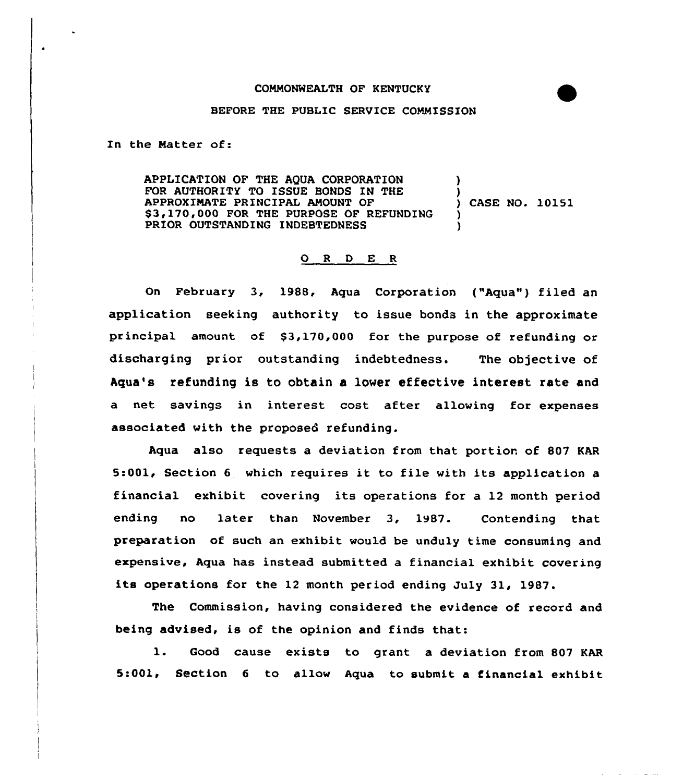## COMMONNEALTH OF KENTUCKY

## BEFORE THE PUBLIC SERVICE COMMISSION

In the Natter of:

APPLICATION OF THE AQUA CORPORATION FOR AUTHORITY TO ISSUE BONDS IN THE APPROXIMATE PRINCIPAL AMOUNT OF \$3,170,000 FOR THE PURPOSE OF REFUNDING PRIOR OUTSTANDING INDEBTEDNESS l ) ) CASE NO. 10151 ) )

## ORDER

On February 3, 1988, Aqua Corporation ("Aqua") filed an application seeking authority to issue bonds in the approximate principal amount of \$3,170,000 for the purpose of refunding or discharging prior outstanding indebtedness. The objective of Aqua's refunding is to obtain a lover effective interest rate and a net savings in interest cost after allowing for expenses associated with the proposed refunding.

Aqua also requests a deviation from that portion of 807 KAR 5:001, Section <sup>6</sup> which requires it to file with its application <sup>a</sup> financial exhibit covering its operations for a 12 month period ending no later than November 3, 1987. Contending that preparation of such an exhibit would be unduly time consuming and expensive, Aqua has instead submitted a financial exhibit covering its operations for the <sup>12</sup> month period ending July 31, 1987.

The Commission, having considered the evidence of record and being advised, is of the opinion and finds that:

l. Good cause exists to grant <sup>a</sup> deviation from <sup>807</sup> KAR 5:001, Section <sup>6</sup> to allow Aqua to submit a financial exhibit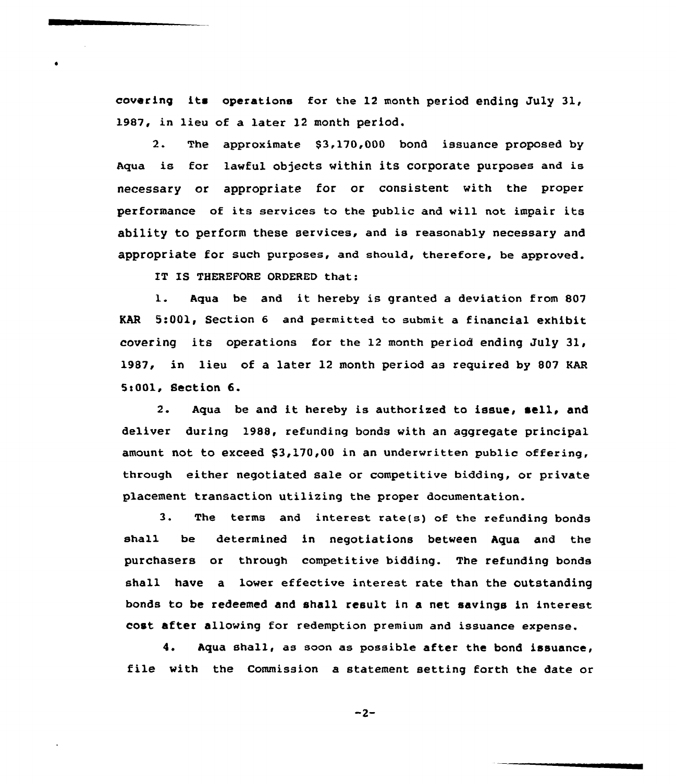covering its operations for the 12 month period ending July 31, 1987, in lieu of a later 12 month period.

2. The approximate \$3,170,000 bond issuance proposed by Aqua is for lawful objects within its corporate purposes and is necessary or appropriate for or consistent with the proper performance of its services to the public and will not impair its ability to perform these services, and is reasonably necessary and appropriate for such purposes, and should, therefore, be approved.

IT IS THEREFORE ORDERED that:

l. Aqua be and it hereby is granted <sup>a</sup> deviation from <sup>807</sup> KAR 5:001, Section <sup>6</sup> and permitted to submit a financial exhibit covering its operations for the 12 month period ending July 31, 1987, in lieu of a later 12 month period as required by 807 KAR 5<001, Section 6.

2. Aqua be and it hereby is authorized to issue, sell, and deliver during 1988, refunding bonds with an aggregate principal amount not to exceed \$3,170,00 in an underwritten public offering, through either negotiated sale or competitive bidding, or private placement transaction utilizing the proper documentation.

3. The terms and interest rate(s) of the refunding bonds shal1 be determined in negotiations between Aqua and the purchasers or through competitive bidding. The refunding bonds shall have a lower effective interest rate than the outstanding bonds to be redeemed and shall result in a net savings in interest cost after allowing for redemption premium and issuance expense.

4. Aqua shall, as soon as possible after the bond issuance, file with the Commission a statement setting forth the date or

 $-2-$